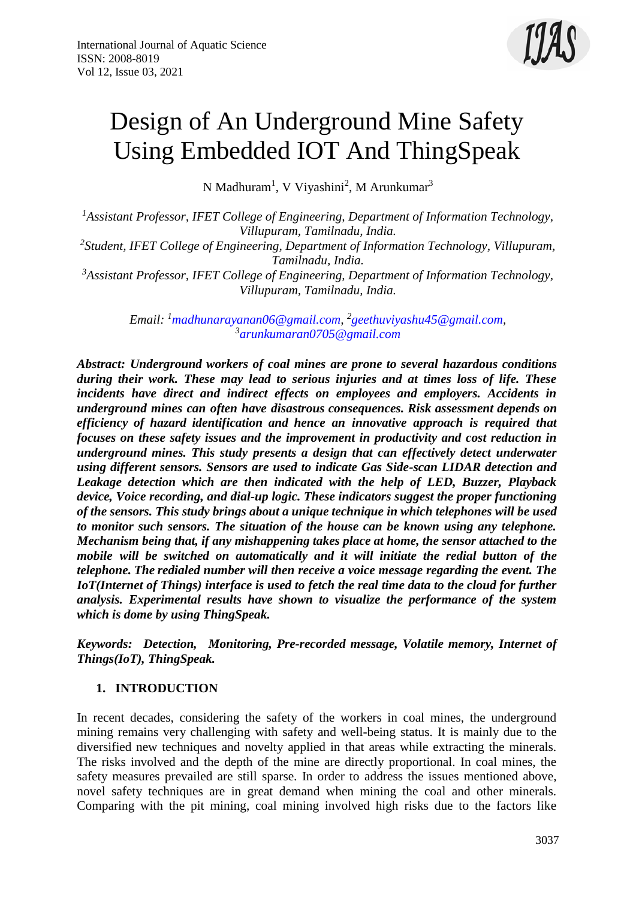

# Design of An Underground Mine Safety Using Embedded IOT And ThingSpeak

N Madhuram<sup>1</sup>, V Viyashini<sup>2</sup>, M Arunkumar<sup>3</sup>

*<sup>1</sup>Assistant Professor, IFET College of Engineering, Department of Information Technology, Villupuram, Tamilnadu, India. 2 Student, IFET College of Engineering, Department of Information Technology, Villupuram, Tamilnadu, India. <sup>3</sup>Assistant Professor, IFET College of Engineering, Department of Information Technology, Villupuram, Tamilnadu, India.*

> *Email: <sup>1</sup>[madhunarayanan06@gmail.com,](mailto:madhunarayanan06@gmail.com) 2 [geethuviyashu45@gmail.com,](mailto:geethuviyashu45@gmail.com) 3 [arunkumaran0705@gmail.com](mailto:arunkumaran0705@gmail.com)*

*Abstract: Underground workers of coal mines are prone to several hazardous conditions during their work. These may lead to serious injuries and at times loss of life. These incidents have direct and indirect effects on employees and employers. Accidents in underground mines can often have disastrous consequences. Risk assessment depends on efficiency of hazard identification and hence an innovative approach is required that focuses on these safety issues and the improvement in productivity and cost reduction in underground mines. This study presents a design that can effectively detect underwater using different sensors. Sensors are used to indicate Gas Side-scan LIDAR detection and Leakage detection which are then indicated with the help of LED, Buzzer, Playback device, Voice recording, and dial-up logic. These indicators suggest the proper functioning of the sensors. This study brings about a unique technique in which telephones will be used to monitor such sensors. The situation of the house can be known using any telephone. Mechanism being that, if any mishappening takes place at home, the sensor attached to the mobile will be switched on automatically and it will initiate the redial button of the telephone. The redialed number will then receive a voice message regarding the event. The IoT(Internet of Things) interface is used to fetch the real time data to the cloud for further analysis. Experimental results have shown to visualize the performance of the system which is dome by using ThingSpeak.*

*Keywords: Detection, Monitoring, Pre-recorded message, Volatile memory, Internet of Things(IoT), ThingSpeak.*

## **1. INTRODUCTION**

In recent decades, considering the safety of the workers in coal mines, the underground mining remains very challenging with safety and well-being status. It is mainly due to the diversified new techniques and novelty applied in that areas while extracting the minerals. The risks involved and the depth of the mine are directly proportional. In coal mines, the safety measures prevailed are still sparse. In order to address the issues mentioned above, novel safety techniques are in great demand when mining the coal and other minerals. Comparing with the pit mining, coal mining involved high risks due to the factors like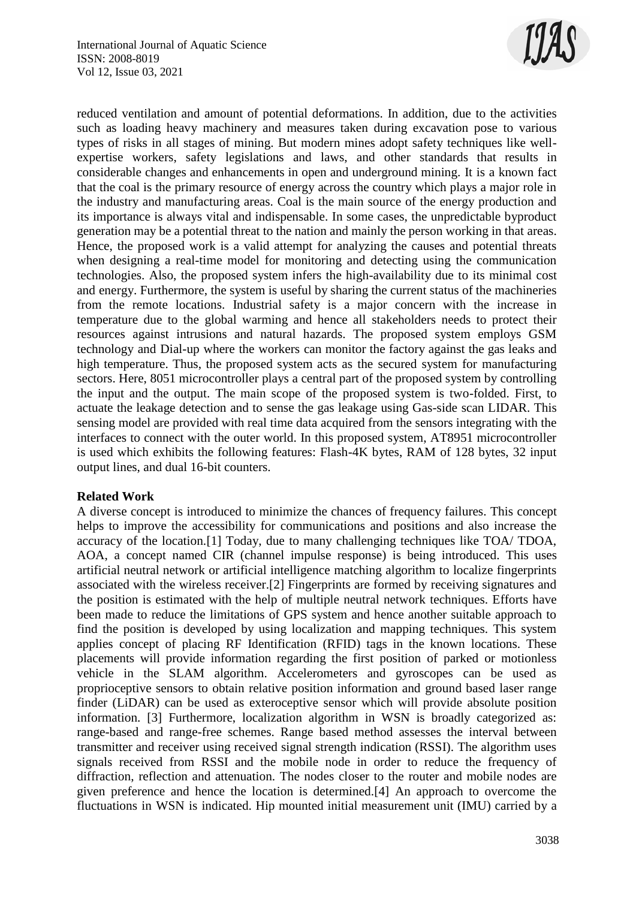

reduced ventilation and amount of potential deformations. In addition, due to the activities such as loading heavy machinery and measures taken during excavation pose to various types of risks in all stages of mining. But modern mines adopt safety techniques like wellexpertise workers, safety legislations and laws, and other standards that results in considerable changes and enhancements in open and underground mining. It is a known fact that the coal is the primary resource of energy across the country which plays a major role in the industry and manufacturing areas. Coal is the main source of the energy production and its importance is always vital and indispensable. In some cases, the unpredictable byproduct generation may be a potential threat to the nation and mainly the person working in that areas. Hence, the proposed work is a valid attempt for analyzing the causes and potential threats when designing a real-time model for monitoring and detecting using the communication technologies. Also, the proposed system infers the high-availability due to its minimal cost and energy. Furthermore, the system is useful by sharing the current status of the machineries from the remote locations. Industrial safety is a major concern with the increase in temperature due to the global warming and hence all stakeholders needs to protect their resources against intrusions and natural hazards. The proposed system employs GSM technology and Dial-up where the workers can monitor the factory against the gas leaks and high temperature. Thus, the proposed system acts as the secured system for manufacturing sectors. Here, 8051 microcontroller plays a central part of the proposed system by controlling the input and the output. The main scope of the proposed system is two-folded. First, to actuate the leakage detection and to sense the gas leakage using Gas-side scan LIDAR. This sensing model are provided with real time data acquired from the sensors integrating with the interfaces to connect with the outer world. In this proposed system, AT8951 microcontroller is used which exhibits the following features: Flash-4K bytes, RAM of 128 bytes, 32 input output lines, and dual 16-bit counters.

## **Related Work**

A diverse concept is introduced to minimize the chances of frequency failures. This concept helps to improve the accessibility for communications and positions and also increase the accuracy of the location.[1] Today, due to many challenging techniques like TOA/ TDOA, AOA, a concept named CIR (channel impulse response) is being introduced. This uses artificial neutral network or artificial intelligence matching algorithm to localize fingerprints associated with the wireless receiver.[2] Fingerprints are formed by receiving signatures and the position is estimated with the help of multiple neutral network techniques. Efforts have been made to reduce the limitations of GPS system and hence another suitable approach to find the position is developed by using localization and mapping techniques. This system applies concept of placing RF Identification (RFID) tags in the known locations. These placements will provide information regarding the first position of parked or motionless vehicle in the SLAM algorithm. Accelerometers and gyroscopes can be used as proprioceptive sensors to obtain relative position information and ground based laser range finder (LiDAR) can be used as exteroceptive sensor which will provide absolute position information. [3] Furthermore, localization algorithm in WSN is broadly categorized as: range-based and range-free schemes. Range based method assesses the interval between transmitter and receiver using received signal strength indication (RSSI). The algorithm uses signals received from RSSI and the mobile node in order to reduce the frequency of diffraction, reflection and attenuation. The nodes closer to the router and mobile nodes are given preference and hence the location is determined.[4] An approach to overcome the fluctuations in WSN is indicated. Hip mounted initial measurement unit (IMU) carried by a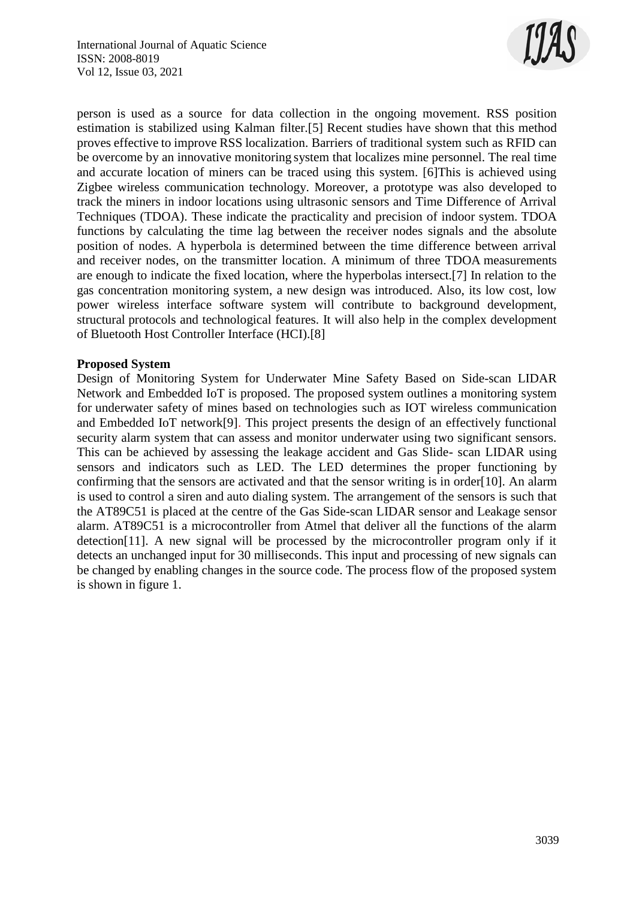

person is used as a source for data collection in the ongoing movement. RSS position estimation is stabilized using Kalman filter.[5] Recent studies have shown that this method proves effective to improve RSS localization. Barriers of traditional system such as RFID can be overcome by an innovative monitoring system that localizes mine personnel. The real time and accurate location of miners can be traced using this system. [6]This is achieved using Zigbee wireless communication technology. Moreover, a prototype was also developed to track the miners in indoor locations using ultrasonic sensors and Time Difference of Arrival Techniques (TDOA). These indicate the practicality and precision of indoor system. TDOA functions by calculating the time lag between the receiver nodes signals and the absolute position of nodes. A hyperbola is determined between the time difference between arrival and receiver nodes, on the transmitter location. A minimum of three TDOA measurements are enough to indicate the fixed location, where the hyperbolas intersect.[7] In relation to the gas concentration monitoring system, a new design was introduced. Also, its low cost, low power wireless interface software system will contribute to background development, structural protocols and technological features. It will also help in the complex development of Bluetooth Host Controller Interface (HCI).[8]

## **Proposed System**

Design of Monitoring System for Underwater Mine Safety Based on Side-scan LIDAR Network and Embedded IoT is proposed. The proposed system outlines a monitoring system for underwater safety of mines based on technologies such as IOT wireless communication and Embedded IoT network[9]. This project presents the design of an effectively functional security alarm system that can assess and monitor underwater using two significant sensors. This can be achieved by assessing the leakage accident and Gas Slide- scan LIDAR using sensors and indicators such as LED. The LED determines the proper functioning by confirming that the sensors are activated and that the sensor writing is in order[10]. An alarm is used to control a siren and auto dialing system. The arrangement of the sensors is such that the AT89C51 is placed at the centre of the Gas Side-scan LIDAR sensor and Leakage sensor alarm. AT89C51 is a microcontroller from Atmel that deliver all the functions of the alarm detection[11]. A new signal will be processed by the microcontroller program only if it detects an unchanged input for 30 milliseconds. This input and processing of new signals can be changed by enabling changes in the source code. The process flow of the proposed system is shown in figure 1.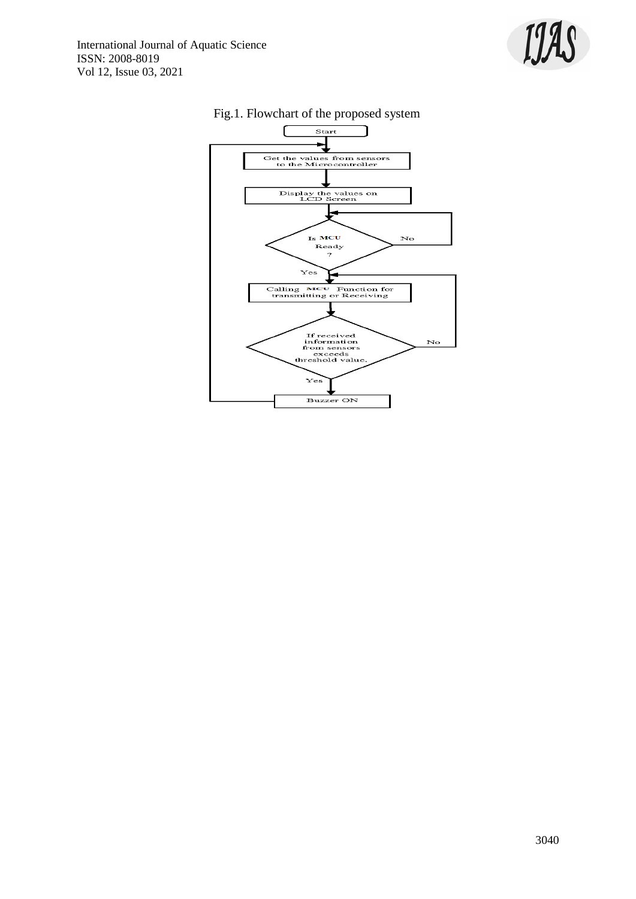International Journal of Aquatic Science ISSN: 2008-8019 Vol 12, Issue 03, 2021





# Fig.1. Flowchart of the proposed system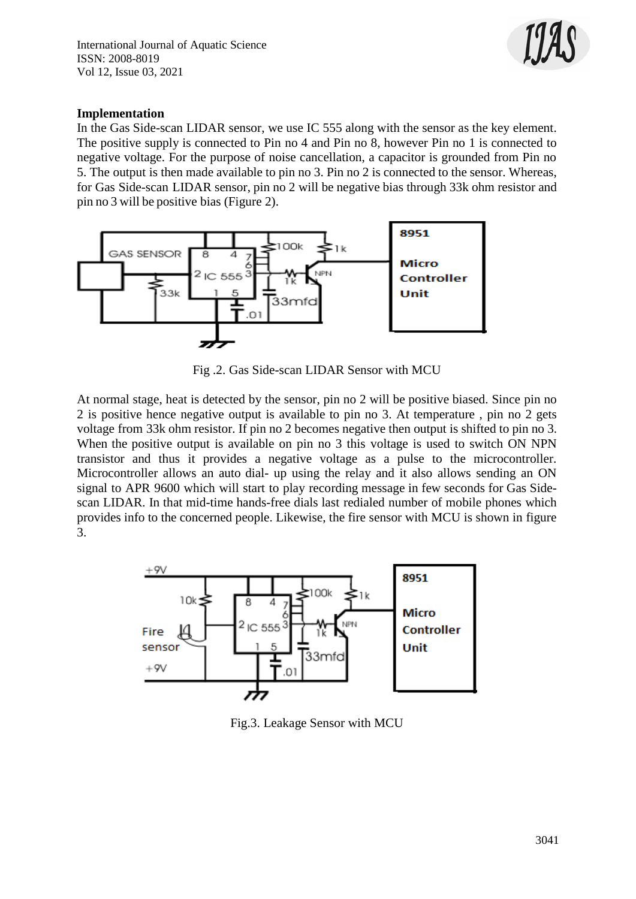International Journal of Aquatic Science ISSN: 2008-8019 Vol 12, Issue 03, 2021



## **Implementation**

In the Gas Side-scan LIDAR sensor, we use IC 555 along with the sensor as the key element. The positive supply is connected to Pin no 4 and Pin no 8, however Pin no 1 is connected to negative voltage. For the purpose of noise cancellation, a capacitor is grounded from Pin no 5. The output is then made available to pin no 3. Pin no 2 is connected to the sensor. Whereas, for Gas Side-scan LIDAR sensor, pin no 2 will be negative bias through 33k ohm resistor and pin no 3 will be positive bias (Figure 2).



Fig .2. Gas Side-scan LIDAR Sensor with MCU

At normal stage, heat is detected by the sensor, pin no 2 will be positive biased. Since pin no 2 is positive hence negative output is available to pin no 3. At temperature , pin no 2 gets voltage from 33k ohm resistor. If pin no 2 becomes negative then output is shifted to pin no 3. When the positive output is available on pin no 3 this voltage is used to switch ON NPN transistor and thus it provides a negative voltage as a pulse to the microcontroller. Microcontroller allows an auto dial- up using the relay and it also allows sending an ON signal to APR 9600 which will start to play recording message in few seconds for Gas Sidescan LIDAR. In that mid-time hands-free dials last redialed number of mobile phones which provides info to the concerned people. Likewise, the fire sensor with MCU is shown in figure 3.



Fig.3. Leakage Sensor with MCU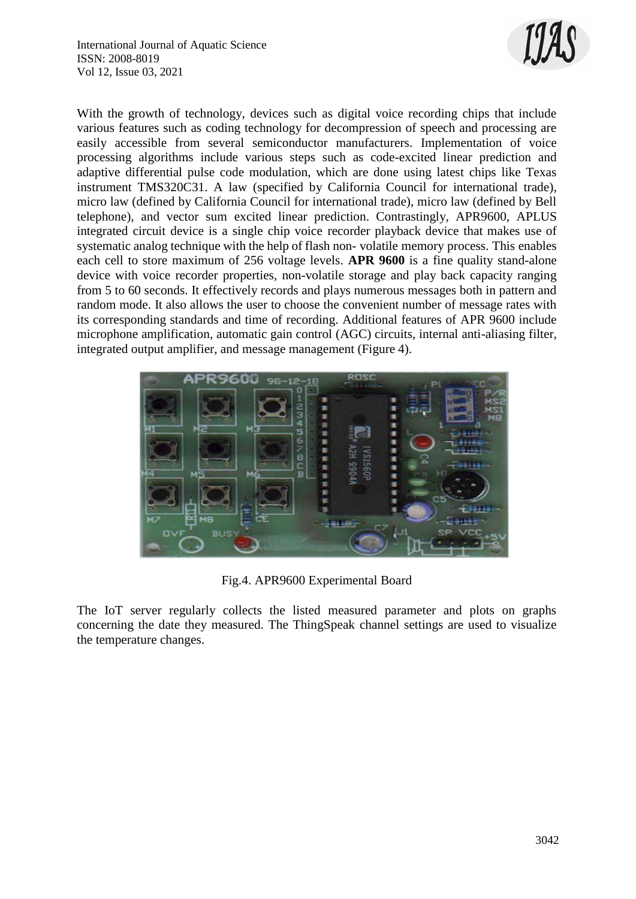

With the growth of technology, devices such as digital voice recording chips that include various features such as coding technology for decompression of speech and processing are easily accessible from several semiconductor manufacturers. Implementation of voice processing algorithms include various steps such as code-excited linear prediction and adaptive differential pulse code modulation, which are done using latest chips like Texas instrument TMS320C31. A law (specified by California Council for international trade), micro law (defined by California Council for international trade), micro law (defined by Bell telephone), and vector sum excited linear prediction. Contrastingly, APR9600, APLUS integrated circuit device is a single chip voice recorder playback device that makes use of systematic analog technique with the help of flash non- volatile memory process. This enables each cell to store maximum of 256 voltage levels. **APR 9600** is a fine quality stand-alone device with voice recorder properties, non-volatile storage and play back capacity ranging from 5 to 60 seconds. It effectively records and plays numerous messages both in pattern and random mode. It also allows the user to choose the convenient number of message rates with its corresponding standards and time of recording. Additional features of APR 9600 include microphone amplification, automatic gain control (AGC) circuits, internal anti-aliasing filter, integrated output amplifier, and message management (Figure 4).



Fig.4. APR9600 Experimental Board

The IoT server regularly collects the listed measured parameter and plots on graphs concerning the date they measured. The ThingSpeak channel settings are used to visualize the temperature changes.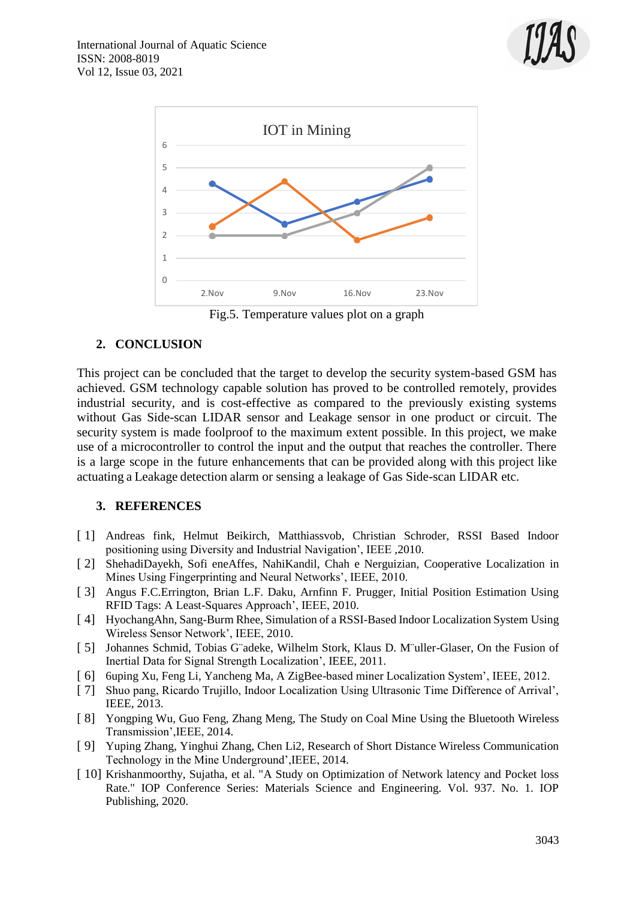



Fig.5. Temperature values plot on a graph

# **2. CONCLUSION**

This project can be concluded that the target to develop the security system-based GSM has achieved. GSM technology capable solution has proved to be controlled remotely, provides industrial security, and is cost-effective as compared to the previously existing systems without Gas Side-scan LIDAR sensor and Leakage sensor in one product or circuit. The security system is made foolproof to the maximum extent possible. In this project, we make use of a microcontroller to control the input and the output that reaches the controller. There is a large scope in the future enhancements that can be provided along with this project like actuating a Leakage detection alarm or sensing a leakage of Gas Side-scan LIDAR etc.

## **3. REFERENCES**

- [ 1] Andreas fink, Helmut Beikirch, Matthiassvob, Christian Schroder, RSSI Based Indoor positioning using Diversity and Industrial Navigation', IEEE ,2010.
- [ 2] ShehadiDayekh, Sofi eneAffes, NahiKandil, Chah e Nerguizian, Cooperative Localization in Mines Using Fingerprinting and Neural Networks', IEEE, 2010.
- [ 3] Angus F.C.Errington, Brian L.F. Daku, Arnfinn F. Prugger, Initial Position Estimation Using RFID Tags: A Least-Squares Approach', IEEE, 2010.
- [ 4] HyochangAhn, Sang-Burm Rhee, Simulation of a RSSI-Based Indoor Localization System Using Wireless Sensor Network', IEEE, 2010.
- [ 5] Johannes Schmid, Tobias G¨adeke, Wilhelm Stork, Klaus D. M¨uller-Glaser, On the Fusion of Inertial Data for Signal Strength Localization', IEEE, 2011.
- [ 6] 6uping Xu, Feng Li, Yancheng Ma, A ZigBee-based miner Localization System', IEEE, 2012.
- [ 7] Shuo pang, Ricardo Trujillo, Indoor Localization Using Ultrasonic Time Difference of Arrival', IEEE, 2013.
- [ 8] Yongping Wu, Guo Feng, Zhang Meng, The Study on Coal Mine Using the Bluetooth Wireless Transmission',IEEE, 2014.
- [ 9] Yuping Zhang, Yinghui Zhang, Chen Li2, Research of Short Distance Wireless Communication Technology in the Mine Underground',IEEE, 2014.
- [ 10] Krishanmoorthy, Sujatha, et al. "A Study on Optimization of Network latency and Pocket loss Rate." IOP Conference Series: Materials Science and Engineering. Vol. 937. No. 1. IOP Publishing, 2020.